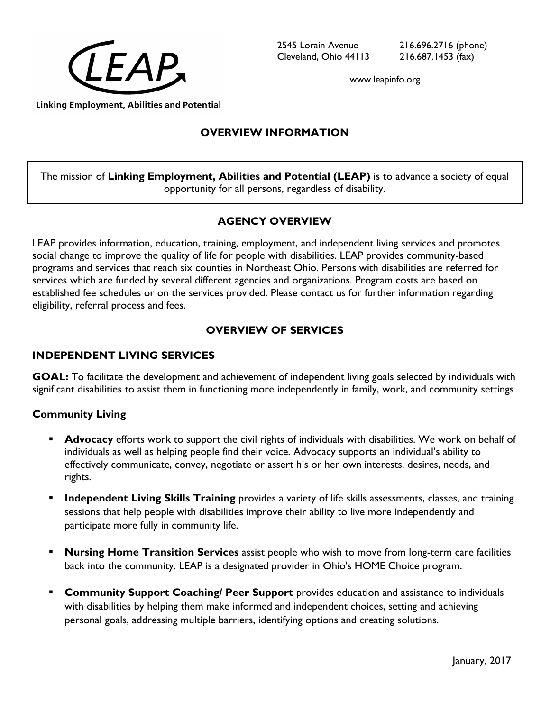

www.leapinfo.org

#### **Linking Employment, Abilities and Potential**

# **OVERVIEW INFORMATION**

The mission of **Linking Employment, Abilities and Potential (LEAP)** is to advance a society of equal opportunity for all persons, regardless of disability.

## **AGENCY OVERVIEW**

LEAP provides information, education, training, employment, and independent living services and promotes social change to improve the quality of life for people with disabilities. LEAP provides community-based programs and services that reach six counties in Northeast Ohio. Persons with disabilities are referred for services which are funded by several different agencies and organizations. Program costs are based on established fee schedules or on the services provided. Please contact us for further information regarding eligibility, referral process and fees.

# **OVERVIEW OF SERVICES**

## **INDEPENDENT LIVING SERVICES**

**GOAL:** To facilitate the development and achievement of independent living goals selected by individuals with significant disabilities to assist them in functioning more independently in family, work, and community settings

### **Community Living**

- **Advocacy** efforts work to support the civil rights of individuals with disabilities. We work on behalf of individuals as well as helping people find their voice. Advocacy supports an individual's ability to effectively communicate, convey, negotiate or assert his or her own interests, desires, needs, and rights.
- **Independent Living Skills Training** provides a variety of life skills assessments, classes, and training sessions that help people with disabilities improve their ability to live more independently and participate more fully in community life.
- **Nursing Home Transition Services** assist people who wish to move from long-term care facilities back into the community. LEAP is a designated provider in Ohio's HOME Choice program.
- **Community Support Coaching/ Peer Support** provides education and assistance to individuals with disabilities by helping them make informed and independent choices, setting and achieving personal goals, addressing multiple barriers, identifying options and creating solutions.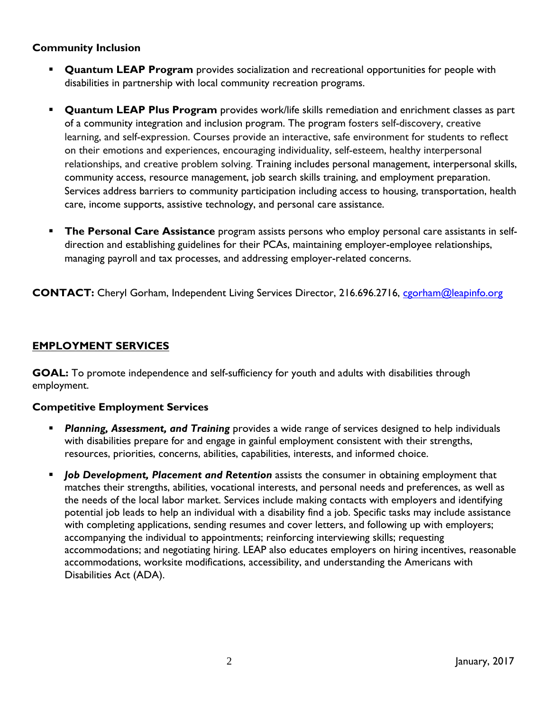## **Community Inclusion**

- **Quantum LEAP Program** provides socialization and recreational opportunities for people with disabilities in partnership with local community recreation programs.
- **Quantum LEAP Plus Program** provides work/life skills remediation and enrichment classes as part of a community integration and inclusion program. The program fosters self-discovery, creative learning, and self-expression. Courses provide an interactive, safe environment for students to reflect on their emotions and experiences, encouraging individuality, self-esteem, healthy interpersonal relationships, and creative problem solving. Training includes personal management, interpersonal skills, community access, resource management, job search skills training, and employment preparation. Services address barriers to community participation including access to housing, transportation, health care, income supports, assistive technology, and personal care assistance.
- **The Personal Care Assistance** program assists persons who employ personal care assistants in selfdirection and establishing guidelines for their PCAs, maintaining employer-employee relationships, managing payroll and tax processes, and addressing employer-related concerns.

**CONTACT:** Cheryl Gorham, Independent Living Services Director, 216.696.2716, [cgorham@leapinfo.org](mailto:cgorham@leapinfo.org)

## **EMPLOYMENT SERVICES**

**GOAL:** To promote independence and self-sufficiency for youth and adults with disabilities through employment.

### **Competitive Employment Services**

- *Planning, Assessment, and Training* provides a wide range of services designed to help individuals with disabilities prepare for and engage in gainful employment consistent with their strengths, resources, priorities, concerns, abilities, capabilities, interests, and informed choice.
- *Job Development, Placement and Retention* assists the consumer in obtaining employment that matches their strengths, abilities, vocational interests, and personal needs and preferences, as well as the needs of the local labor market. Services include making contacts with employers and identifying potential job leads to help an individual with a disability find a job. Specific tasks may include assistance with completing applications, sending resumes and cover letters, and following up with employers; accompanying the individual to appointments; reinforcing interviewing skills; requesting accommodations; and negotiating hiring. LEAP also educates employers on hiring incentives, reasonable accommodations, worksite modifications, accessibility, and understanding the Americans with Disabilities Act (ADA).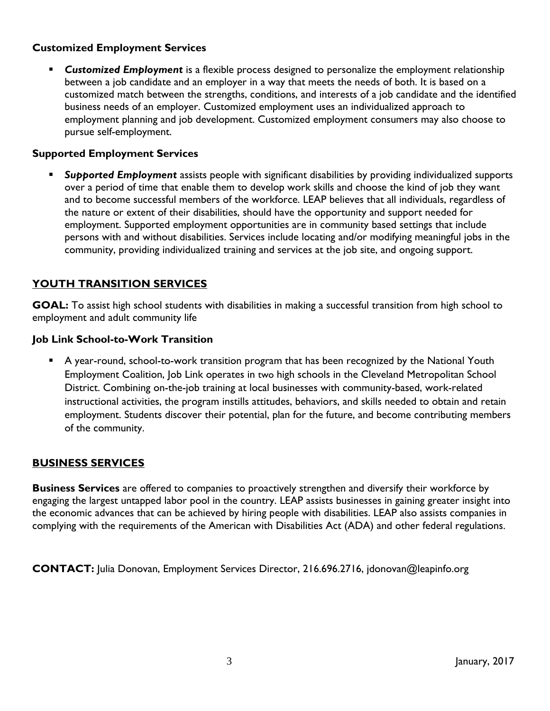### **Customized Employment Services**

 *Customized Employment* is a flexible process designed to personalize the employment relationship between a job candidate and an employer in a way that meets the needs of both. It is based on a customized match between the strengths, conditions, and interests of a job candidate and the identified business needs of an employer. Customized employment uses an individualized approach to employment planning and job development. Customized employment consumers may also choose to pursue self-employment.

### **Supported Employment Services**

 *Supported Employment* assists people with significant disabilities by providing individualized supports over a period of time that enable them to develop work skills and choose the kind of job they want and to become successful members of the workforce. LEAP believes that all individuals, regardless of the nature or extent of their disabilities, should have the opportunity and support needed for employment. Supported employment opportunities are in community based settings that include persons with and without disabilities. Services include locating and/or modifying meaningful jobs in the community, providing individualized training and services at the job site, and ongoing support.

## **YOUTH TRANSITION SERVICES**

**GOAL:** To assist high school students with disabilities in making a successful transition from high school to employment and adult community life

### **Job Link School-to-Work Transition**

 A year-round, school-to-work transition program that has been recognized by the National Youth Employment Coalition, Job Link operates in two high schools in the Cleveland Metropolitan School District. Combining on-the-job training at local businesses with community-based, work-related instructional activities, the program instills attitudes, behaviors, and skills needed to obtain and retain employment. Students discover their potential, plan for the future, and become contributing members of the community.

### **BUSINESS SERVICES**

**Business Services** are offered to companies to proactively strengthen and diversify their workforce by engaging the largest untapped labor pool in the country. LEAP assists businesses in gaining greater insight into the economic advances that can be achieved by hiring people with disabilities. LEAP also assists companies in complying with the requirements of the American with Disabilities Act (ADA) and other federal regulations.

**CONTACT:** Julia Donovan, Employment Services Director, 216.696.2716, [jdonovan@leapinfo.org](mailto:jdonovan@leapinfo.org)